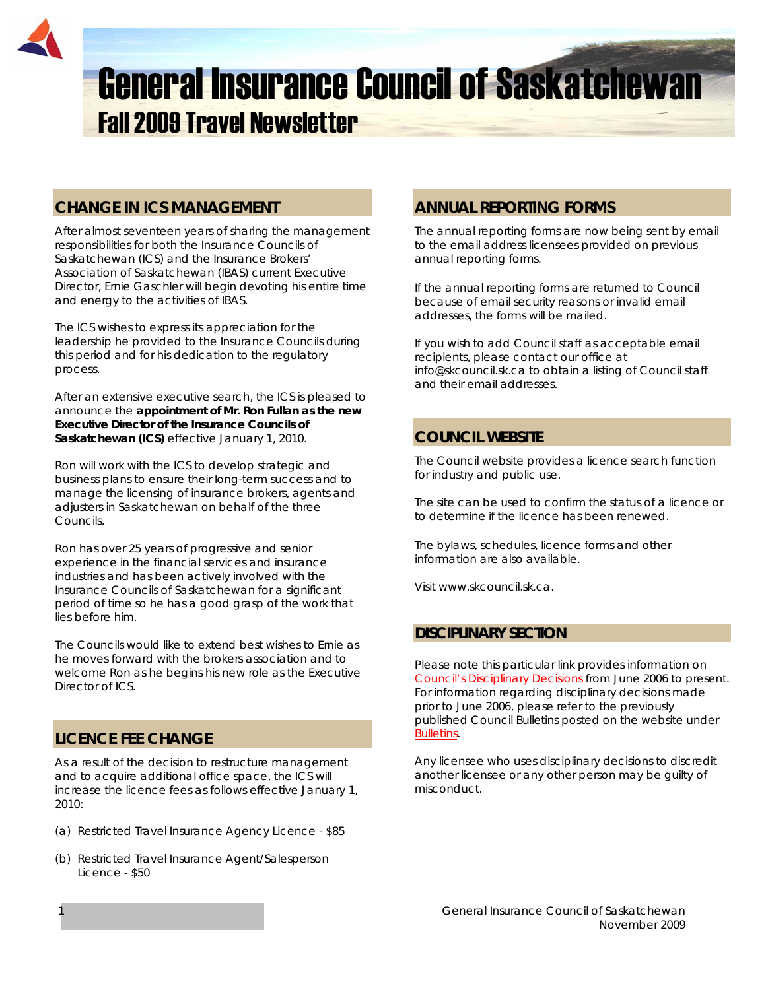

# **CHANGE IN ICS MANAGEMENT**

After almost seventeen years of sharing the management responsibilities for both the Insurance Councils of Saskatchewan (ICS) and the Insurance Brokers' Association of Saskatchewan (IBAS) current Executive Director, Ernie Gaschler will begin devoting his entire time and energy to the activities of IBAS.

The ICS wishes to express its appreciation for the leadership he provided to the Insurance Councils during this period and for his dedication to the regulatory process.

After an extensive executive search, the ICS is pleased to announce the **appointment of Mr. Ron Fullan as the new Executive Director of the Insurance Councils of Saskatchewan (ICS)** effective January 1, 2010.

Ron will work with the ICS to develop strategic and business plans to ensure their long-term success and to manage the licensing of insurance brokers, agents and adjusters in Saskatchewan on behalf of the three Councils.

Ron has over 25 years of progressive and senior experience in the financial services and insurance industries and has been actively involved with the Insurance Councils of Saskatchewan for a significant period of time so he has a good grasp of the work that lies before him.

The Councils would like to extend best wishes to Ernie as he moves forward with the brokers association and to welcome Ron as he begins his new role as the Executive Director of ICS.

# **LICENCE FEE CHANGE**

As a result of the decision to restructure management and to acquire additional office space, the ICS will increase the licence fees as follows effective January 1, 2010:

- (a) Restricted Travel Insurance Agency Licence \$85
- (b) Restricted Travel Insurance Agent/Salesperson Licence - \$50

# **ANNUAL REPORTING FORMS**

The annual reporting forms are now being sent by email to the email address licensees provided on previous annual reporting forms.

If the annual reporting forms are returned to Council because of email security reasons or invalid email addresses, the forms will be mailed.

If you wish to add Council staff as acceptable email recipients, please contact our office at info@skcouncil.sk.ca to obtain a listing of Council staff and their email addresses.

# **COUNCIL WEBSITE**

The Council website provides a licence search function for industry and public use.

The site can be used to confirm the status of a licence or to determine if the licence has been renewed.

The bylaws, schedules, licence forms and other information are also available.

Visit www.skcouncil.sk.ca.

## **DISCIPLINARY SECTION**

Please note this particular link provides information on *Council's Disciplinary Decisions* from June 2006 to present. For information regarding disciplinary decisions made prior to June 2006, please refer to the previously published Council Bulletins posted on the website under *Bulletins*.

Any licensee who uses disciplinary decisions to discredit another licensee or any other person may be guilty of misconduct.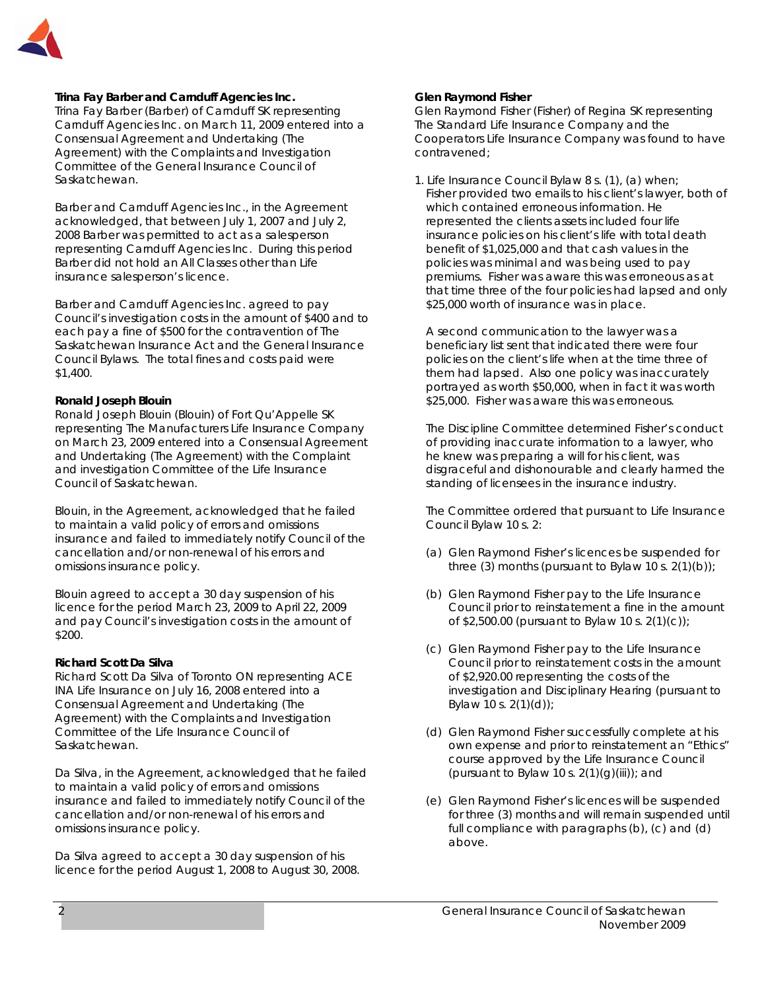

#### **Trina Fay Barber and Carnduff Agencies Inc.**

Trina Fay Barber (Barber) of Carnduff SK representing Carnduff Agencies Inc. on March 11, 2009 entered into a Consensual Agreement and Undertaking (The Agreement) with the Complaints and Investigation Committee of the General Insurance Council of Saskatchewan.

Barber and Carnduff Agencies Inc., in the Agreement acknowledged, that between July 1, 2007 and July 2, 2008 Barber was permitted to act as a salesperson representing Carnduff Agencies Inc. During this period Barber did not hold an All Classes other than Life insurance salesperson's licence.

Barber and Carnduff Agencies Inc. agreed to pay Council's investigation costs in the amount of \$400 and to each pay a fine of \$500 for the contravention of *The Saskatchewan Insurance Act* and the General Insurance Council Bylaws. The total fines and costs paid were \$1,400.

### **Ronald Joseph Blouin**

Ronald Joseph Blouin (Blouin) of Fort Qu'Appelle SK representing The Manufacturers Life Insurance Company on March 23, 2009 entered into a Consensual Agreement and Undertaking (The Agreement) with the Complaint and investigation Committee of the Life Insurance Council of Saskatchewan.

Blouin, in the Agreement, acknowledged that he failed to maintain a valid policy of errors and omissions insurance and failed to immediately notify Council of the cancellation and/or non-renewal of his errors and omissions insurance policy.

Blouin agreed to accept a 30 day suspension of his licence for the period March 23, 2009 to April 22, 2009 and pay Council's investigation costs in the amount of \$200.

#### **Richard Scott Da Silva**

Richard Scott Da Silva of Toronto ON representing ACE INA Life Insurance on July 16, 2008 entered into a Consensual Agreement and Undertaking (The Agreement) with the Complaints and Investigation Committee of the Life Insurance Council of Saskatchewan.

Da Silva, in the Agreement, acknowledged that he failed to maintain a valid policy of errors and omissions insurance and failed to immediately notify Council of the cancellation and/or non-renewal of his errors and omissions insurance policy.

Da Silva agreed to accept a 30 day suspension of his licence for the period August 1, 2008 to August 30, 2008.

### **Glen Raymond Fisher**

Glen Raymond Fisher (Fisher) of Regina SK representing The Standard Life Insurance Company and the Cooperators Life Insurance Company was found to have contravened;

1. Life Insurance Council Bylaw 8 s. (1), (a) when; Fisher provided two emails to his client's lawyer, both of which contained erroneous information. He represented the clients assets included four life insurance policies on his client's life with total death benefit of \$1,025,000 and that cash values in the policies was minimal and was being used to pay premiums. Fisher was aware this was erroneous as at that time three of the four policies had lapsed and only \$25,000 worth of insurance was in place.

 A second communication to the lawyer was a beneficiary list sent that indicated there were four policies on the client's life when at the time three of them had lapsed. Also one policy was inaccurately portrayed as worth \$50,000, when in fact it was worth \$25,000. Fisher was aware this was erroneous.

 The Discipline Committee determined Fisher's conduct of providing inaccurate information to a lawyer, who he knew was preparing a will for his client, was disgraceful and dishonourable and clearly harmed the standing of licensees in the insurance industry.

 The Committee ordered that pursuant to Life Insurance Council Bylaw 10 s. 2:

- (a) Glen Raymond Fisher's licences be suspended for three (3) months (pursuant to Bylaw 10 s.  $2(1)(b)$ );
- (b) Glen Raymond Fisher pay to the Life Insurance Council prior to reinstatement a fine in the amount of \$2,500.00 (pursuant to Bylaw 10 s. 2(1)(c));
- (c) Glen Raymond Fisher pay to the Life Insurance Council prior to reinstatement costs in the amount of \$2,920.00 representing the costs of the investigation and Disciplinary Hearing (pursuant to Bylaw 10 s. 2(1)(d));
- (d) Glen Raymond Fisher successfully complete at his own expense and prior to reinstatement an "Ethics" course approved by the Life Insurance Council (pursuant to Bylaw 10 s.  $2(1)(g)(iii)$ ; and
- (e) Glen Raymond Fisher's licences will be suspended for three (3) months and will remain suspended until full compliance with paragraphs (b), (c) and (d) above.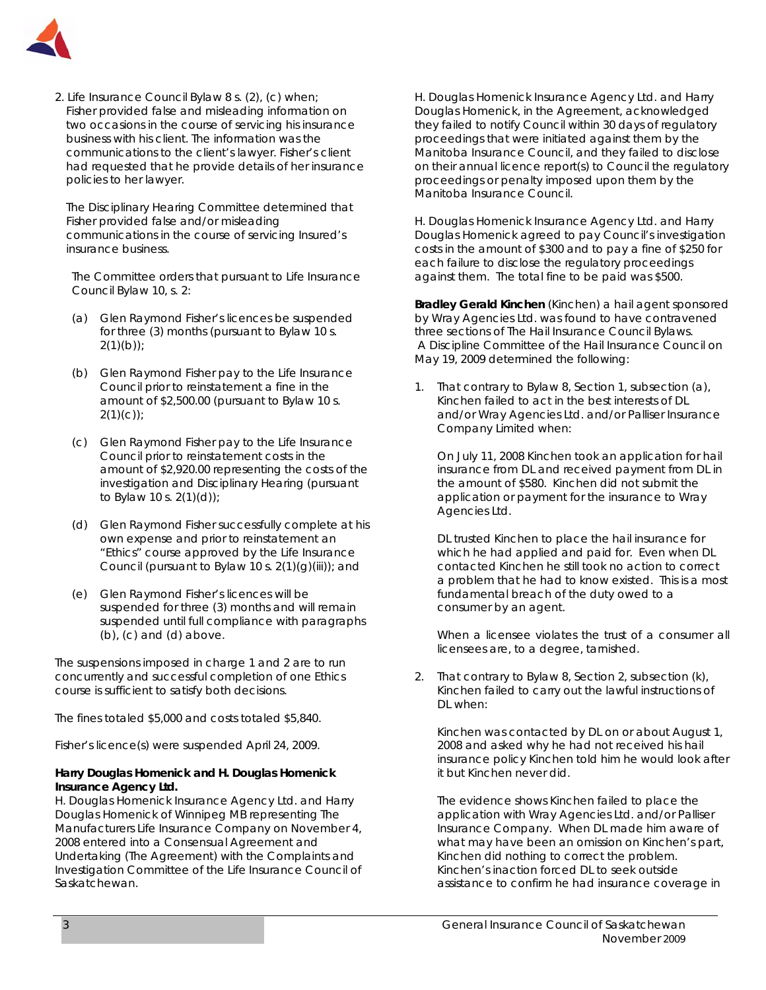

2. Life Insurance Council Bylaw 8 s. (2), (c) when; Fisher provided false and misleading information on two occasions in the course of servicing his insurance business with his client. The information was the communications to the client's lawyer. Fisher's client had requested that he provide details of her insurance policies to her lawyer.

 The Disciplinary Hearing Committee determined that Fisher provided false and/or misleading communications in the course of servicing Insured's insurance business.

 The Committee orders that pursuant to Life Insurance Council Bylaw 10, s. 2:

- (a) Glen Raymond Fisher's licences be suspended for three (3) months (pursuant to Bylaw 10 s.  $2(1)(b)$ ;
- (b) Glen Raymond Fisher pay to the Life Insurance Council prior to reinstatement a fine in the amount of \$2,500.00 (pursuant to Bylaw 10 s.  $2(1)(c)$ ;
- (c) Glen Raymond Fisher pay to the Life Insurance Council prior to reinstatement costs in the amount of \$2,920.00 representing the costs of the investigation and Disciplinary Hearing (pursuant to Bylaw 10 s. 2(1)(d));
- (d) Glen Raymond Fisher successfully complete at his own expense and prior to reinstatement an "Ethics" course approved by the Life Insurance Council (pursuant to Bylaw 10 s.  $2(1)(g)(iii)$ ; and
- (e) Glen Raymond Fisher's licences will be suspended for three (3) months and will remain suspended until full compliance with paragraphs  $(b)$ ,  $(c)$  and  $(d)$  above.

The suspensions imposed in charge 1 and 2 are to run concurrently and successful completion of one Ethics course is sufficient to satisfy both decisions.

The fines totaled \$5,000 and costs totaled \$5,840.

Fisher's licence(s) were suspended April 24, 2009.

### **Harry Douglas Homenick and H. Douglas Homenick Insurance Agency Ltd.**

H. Douglas Homenick Insurance Agency Ltd. and Harry Douglas Homenick of Winnipeg MB representing The Manufacturers Life Insurance Company on November 4, 2008 entered into a Consensual Agreement and Undertaking (The Agreement) with the Complaints and Investigation Committee of the Life Insurance Council of Saskatchewan.

H. Douglas Homenick Insurance Agency Ltd. and Harry Douglas Homenick, in the Agreement, acknowledged they failed to notify Council within 30 days of regulatory proceedings that were initiated against them by the Manitoba Insurance Council, and they failed to disclose on their annual licence report(s) to Council the regulatory proceedings or penalty imposed upon them by the Manitoba Insurance Council.

H. Douglas Homenick Insurance Agency Ltd. and Harry Douglas Homenick agreed to pay Council's investigation costs in the amount of \$300 and to pay a fine of \$250 for each failure to disclose the regulatory proceedings against them. The total fine to be paid was \$500.

**Bradley Gerald Kinchen** (Kinchen) a hail agent sponsored by Wray Agencies Ltd. was found to have contravened three sections of The Hail Insurance Council Bylaws. A Discipline Committee of the Hail Insurance Council on May 19, 2009 determined the following:

1. That contrary to Bylaw 8, Section 1, subsection (a), Kinchen failed to act in the best interests of DL and/or Wray Agencies Ltd. and/or Palliser Insurance Company Limited when:

On July 11, 2008 Kinchen took an application for hail insurance from DL and received payment from DL in the amount of \$580. Kinchen did not submit the application or payment for the insurance to Wray Agencies Ltd.

DL trusted Kinchen to place the hail insurance for which he had applied and paid for. Even when DL contacted Kinchen he still took no action to correct a problem that he had to know existed. This is a most fundamental breach of the duty owed to a consumer by an agent.

When a licensee violates the trust of a consumer all licensees are, to a degree, tarnished.

2. That contrary to Bylaw 8, Section 2, subsection (k), Kinchen failed to carry out the lawful instructions of DL when:

Kinchen was contacted by DL on or about August 1, 2008 and asked why he had not received his hail insurance policy Kinchen told him he would look after it but Kinchen never did.

The evidence shows Kinchen failed to place the application with Wray Agencies Ltd. and/or Palliser Insurance Company. When DL made him aware of what may have been an omission on Kinchen's part, Kinchen did nothing to correct the problem. Kinchen's inaction forced DL to seek outside assistance to confirm he had insurance coverage in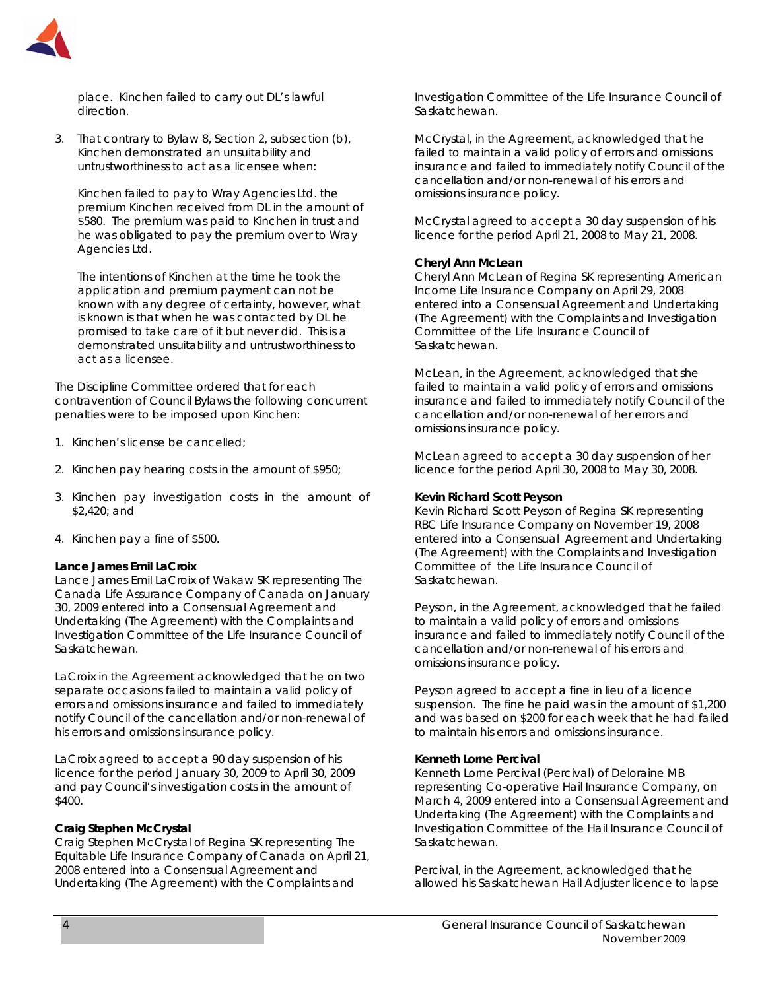

place. Kinchen failed to carry out DL's lawful direction.

3. That contrary to Bylaw 8, Section 2, subsection (b), Kinchen demonstrated an unsuitability and untrustworthiness to act as a licensee when:

Kinchen failed to pay to Wray Agencies Ltd. the premium Kinchen received from DL in the amount of \$580. The premium was paid to Kinchen in trust and he was obligated to pay the premium over to Wray Agencies Ltd.

The intentions of Kinchen at the time he took the application and premium payment can not be known with any degree of certainty, however, what is known is that when he was contacted by DL he promised to take care of it but never did. This is a demonstrated unsuitability and untrustworthiness to act as a licensee.

The Discipline Committee ordered that for each contravention of Council Bylaws the following concurrent penalties were to be imposed upon Kinchen:

- 1. Kinchen's license be cancelled;
- 2. Kinchen pay hearing costs in the amount of \$950;
- 3. Kinchen pay investigation costs in the amount of \$2,420; and
- 4. Kinchen pay a fine of \$500.

### **Lance James Emil LaCroix**

Lance James Emil LaCroix of Wakaw SK representing The Canada Life Assurance Company of Canada on January 30, 2009 entered into a Consensual Agreement and Undertaking (The Agreement) with the Complaints and Investigation Committee of the Life Insurance Council of Saskatchewan.

LaCroix in the Agreement acknowledged that he on two separate occasions failed to maintain a valid policy of errors and omissions insurance and failed to immediately notify Council of the cancellation and/or non-renewal of his errors and omissions insurance policy.

LaCroix agreed to accept a 90 day suspension of his licence for the period January 30, 2009 to April 30, 2009 and pay Council's investigation costs in the amount of \$400.

#### **Craig Stephen McCrystal**

Craig Stephen McCrystal of Regina SK representing The Equitable Life Insurance Company of Canada on April 21, 2008 entered into a Consensual Agreement and Undertaking (The Agreement) with the Complaints and

Investigation Committee of the Life Insurance Council of Saskatchewan.

McCrystal, in the Agreement, acknowledged that he failed to maintain a valid policy of errors and omissions insurance and failed to immediately notify Council of the cancellation and/or non-renewal of his errors and omissions insurance policy.

McCrystal agreed to accept a 30 day suspension of his licence for the period April 21, 2008 to May 21, 2008.

#### **Cheryl Ann McLean**

Cheryl Ann McLean of Regina SK representing American Income Life Insurance Company on April 29, 2008 entered into a Consensual Agreement and Undertaking (The Agreement) with the Complaints and Investigation Committee of the Life Insurance Council of Saskatchewan.

McLean, in the Agreement, acknowledged that she failed to maintain a valid policy of errors and omissions insurance and failed to immediately notify Council of the cancellation and/or non-renewal of her errors and omissions insurance policy.

McLean agreed to accept a 30 day suspension of her licence for the period April 30, 2008 to May 30, 2008.

#### **Kevin Richard Scott Peyson**

Kevin Richard Scott Peyson of Regina SK representing RBC Life Insurance Company on November 19, 2008 entered into a Consensual Agreement and Undertaking (The Agreement) with the Complaints and Investigation Committee of the Life Insurance Council of Saskatchewan.

Peyson, in the Agreement, acknowledged that he failed to maintain a valid policy of errors and omissions insurance and failed to immediately notify Council of the cancellation and/or non-renewal of his errors and omissions insurance policy.

Peyson agreed to accept a fine in lieu of a licence suspension. The fine he paid was in the amount of \$1,200 and was based on \$200 for each week that he had failed to maintain his errors and omissions insurance.

#### **Kenneth Lorne Percival**

Kenneth Lorne Percival (Percival) of Deloraine MB representing Co-operative Hail Insurance Company, on March 4, 2009 entered into a Consensual Agreement and Undertaking (The Agreement) with the Complaints and Investigation Committee of the Hail Insurance Council of Saskatchewan.

Percival, in the Agreement, acknowledged that he allowed his Saskatchewan Hail Adjuster licence to lapse